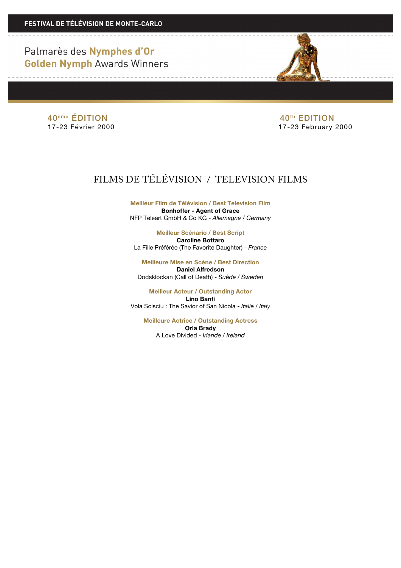Palmarès des Nymphes d'Or **Golden Nymph Awards Winners** 

40<sup>ème</sup> ÉDITION 40<sup>ème</sup> ÉDITION<br>17-23 Février 2000 <del>17-23 February</del>

17-23 February 2000

## FILMS DE TÉLÉVISION / TELEVISION FILMS

**Meilleur Film de Télévision / Best Television Film Bonhoffer - Agent of Grace** NFP Teleart GmbH & Co KG - *Allemagne / Germany*

**Meilleur Scénario / Best Script Caroline Bottaro** La Fille Préférée (The Favorite Daughter) - *France*

**Meilleure Mise en Scène / Best Direction Daniel Alfredson** Dodsklockan (Call of Death) - *Suède / Sweden*

**Meilleur Acteur / Outstanding Actor Lino Banfi** Vola Scisciu : The Savior of San Nicola - *Italie / Italy*

**Meilleure Actrice / Outstanding Actress Orla Brady** A Love Divided - *Irlande / Ireland*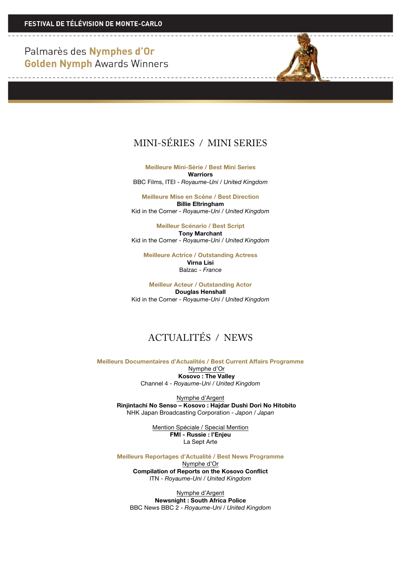Palmarès des Nymphes d'Or **Golden Nymph Awards Winners** 



**Meilleure Mini-Série / Best Mini Series Warriors** BBC Films, ITEI - *Royaume-Uni / United Kingdom*

**Meilleure Mise en Scène / Best Direction Billie Eltringham** Kid in the Corner - *Royaume-Uni / United Kingdom*

**Meilleur Scénario / Best Script Tony Marchant** Kid in the Corner - *Royaume-Uni / United Kingdom*

**Meilleure Actrice / Outstanding Actress Virna Lisi** Balzac - *France*

**Meilleur Acteur / Outstanding Actor Douglas Henshall** Kid in the Corner - *Royaume-Uni / United Kingdom*

## ACTUALITÉS / NEWS

**Meilleurs Documentaires d'Actualités / Best Current Affairs Programme**

Nymphe d'Or **Kosovo : The Valley** Channel 4 *- Royaume-Uni / United Kingdom*

Nymphe d'Argent **Rinjintachi No Senso – Kosovo : Hajdar Dushi Dori No Hitobito** NHK Japan Broadcasting Corporation - *Japon / Japan*

> Mention Spéciale / Special Mention **FMI - Russie : l'Enjeu** La Sept Arte

**Meilleurs Reportages d'Actualité / Best News Programme**

Nymphe d'Or **Compilation of Reports on the Kosovo Conflict** ITN - *Royaume-Uni / United Kingdom*

Nymphe d'Argent **Newsnight : South Africa Police** BBC News BBC 2 - *Royaume-Uni / United Kingdom*